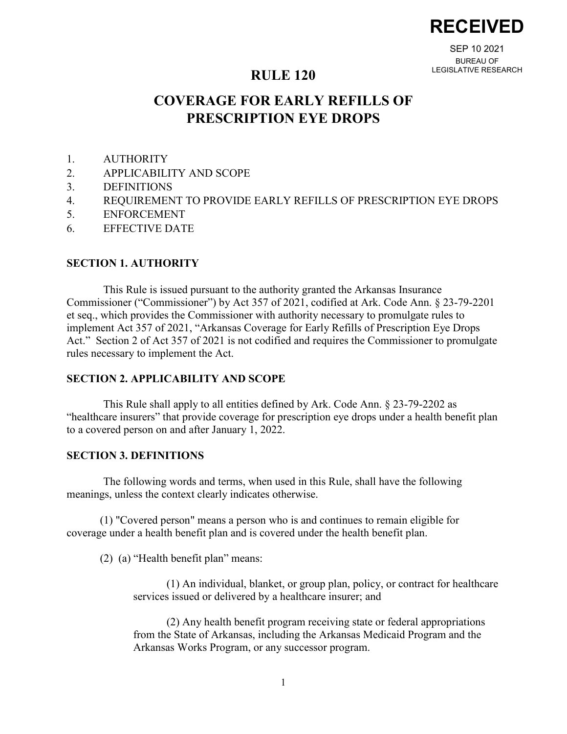**RECEIVED**

SEP 10 2021 BUREAU OF LEGISLATIVE RESEARCH

# **RULE 120**

# **COVERAGE FOR EARLY REFILLS OF PRESCRIPTION EYE DROPS**

- 1. AUTHORITY
- 2. APPLICABILITY AND SCOPE
- 3. DEFINITIONS
- 4. REQUIREMENT TO PROVIDE EARLY REFILLS OF PRESCRIPTION EYE DROPS
- 5. ENFORCEMENT
- 6. EFFECTIVE DATE

### **SECTION 1. AUTHORITY**

This Rule is issued pursuant to the authority granted the Arkansas Insurance Commissioner ("Commissioner") by Act 357 of 2021, codified at Ark. Code Ann. § 23-79-2201 et seq., which provides the Commissioner with authority necessary to promulgate rules to implement Act 357 of 2021, "Arkansas Coverage for Early Refills of Prescription Eye Drops Act." Section 2 of Act 357 of 2021 is not codified and requires the Commissioner to promulgate rules necessary to implement the Act.

## **SECTION 2. APPLICABILITY AND SCOPE**

This Rule shall apply to all entities defined by Ark. Code Ann. § 23-79-2202 as "healthcare insurers" that provide coverage for prescription eye drops under a health benefit plan to a covered person on and after January 1, 2022.

#### **SECTION 3. DEFINITIONS**

The following words and terms, when used in this Rule, shall have the following meanings, unless the context clearly indicates otherwise.

(1) "Covered person" means a person who is and continues to remain eligible for coverage under a health benefit plan and is covered under the health benefit plan.

(2) (a) "Health benefit plan" means:

(1) An individual, blanket, or group plan, policy, or contract for healthcare services issued or delivered by a healthcare insurer; and

(2) Any health benefit program receiving state or federal appropriations from the State of Arkansas, including the Arkansas Medicaid Program and the Arkansas Works Program, or any successor program.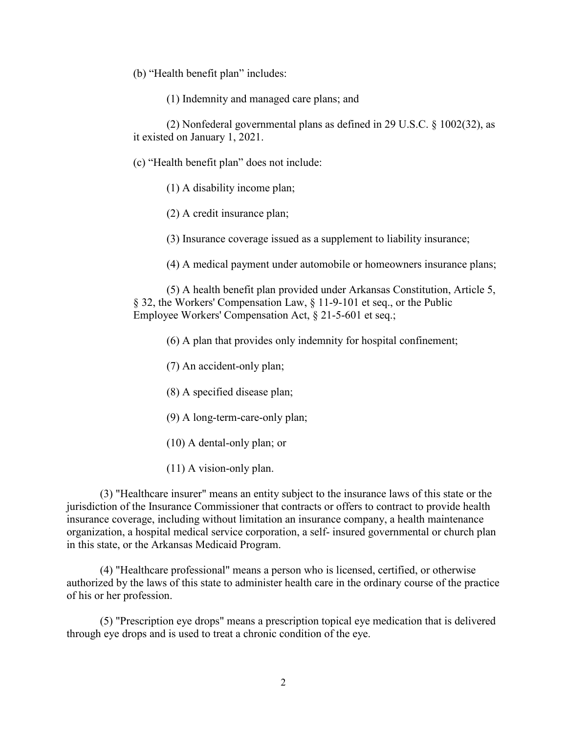(b) "Health benefit plan" includes:

(1) Indemnity and managed care plans; and

(2) Nonfederal governmental plans as defined in 29 U.S.C. § 1002(32), as it existed on January 1, 2021.

(c) "Health benefit plan" does not include:

(1) A disability income plan;

(2) A credit insurance plan;

(3) Insurance coverage issued as a supplement to liability insurance;

(4) A medical payment under automobile or homeowners insurance plans;

(5) A health benefit plan provided under Arkansas Constitution, Article 5, § 32, the Workers' Compensation Law, § 11-9-101 et seq., or the Public Employee Workers' Compensation Act, § 21-5-601 et seq.;

(6) A plan that provides only indemnity for hospital confinement;

(7) An accident-only plan;

(8) A specified disease plan;

(9) A long-term-care-only plan;

(10) A dental-only plan; or

(11) A vision-only plan.

(3) "Healthcare insurer" means an entity subject to the insurance laws of this state or the jurisdiction of the Insurance Commissioner that contracts or offers to contract to provide health insurance coverage, including without limitation an insurance company, a health maintenance organization, a hospital medical service corporation, a self- insured governmental or church plan in this state, or the Arkansas Medicaid Program.

(4) "Healthcare professional" means a person who is licensed, certified, or otherwise authorized by the laws of this state to administer health care in the ordinary course of the practice of his or her profession.

(5) "Prescription eye drops" means a prescription topical eye medication that is delivered through eye drops and is used to treat a chronic condition of the eye.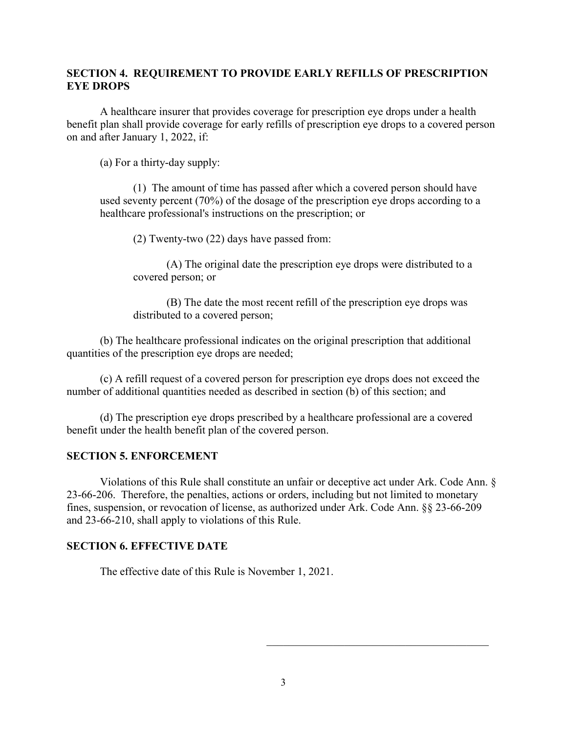# **SECTION 4. REQUIREMENT TO PROVIDE EARLY REFILLS OF PRESCRIPTION EYE DROPS**

A healthcare insurer that provides coverage for prescription eye drops under a health benefit plan shall provide coverage for early refills of prescription eye drops to a covered person on and after January 1, 2022, if:

(a) For a thirty-day supply:

(1) The amount of time has passed after which a covered person should have used seventy percent (70%) of the dosage of the prescription eye drops according to a healthcare professional's instructions on the prescription; or

(2) Twenty-two (22) days have passed from:

(A) The original date the prescription eye drops were distributed to a covered person; or

(B) The date the most recent refill of the prescription eye drops was distributed to a covered person;

(b) The healthcare professional indicates on the original prescription that additional quantities of the prescription eye drops are needed;

(c) A refill request of a covered person for prescription eye drops does not exceed the number of additional quantities needed as described in section (b) of this section; and

(d) The prescription eye drops prescribed by a healthcare professional are a covered benefit under the health benefit plan of the covered person.

## **SECTION 5. ENFORCEMENT**

Violations of this Rule shall constitute an unfair or deceptive act under Ark. Code Ann. § 23-66-206. Therefore, the penalties, actions or orders, including but not limited to monetary fines, suspension, or revocation of license, as authorized under Ark. Code Ann. §§ 23-66-209 and 23-66-210, shall apply to violations of this Rule.

## **SECTION 6. EFFECTIVE DATE**

The effective date of this Rule is November 1, 2021.

 $\mathcal{L}_\mathcal{L}$  , which is a set of the set of the set of the set of the set of the set of the set of the set of the set of the set of the set of the set of the set of the set of the set of the set of the set of the set of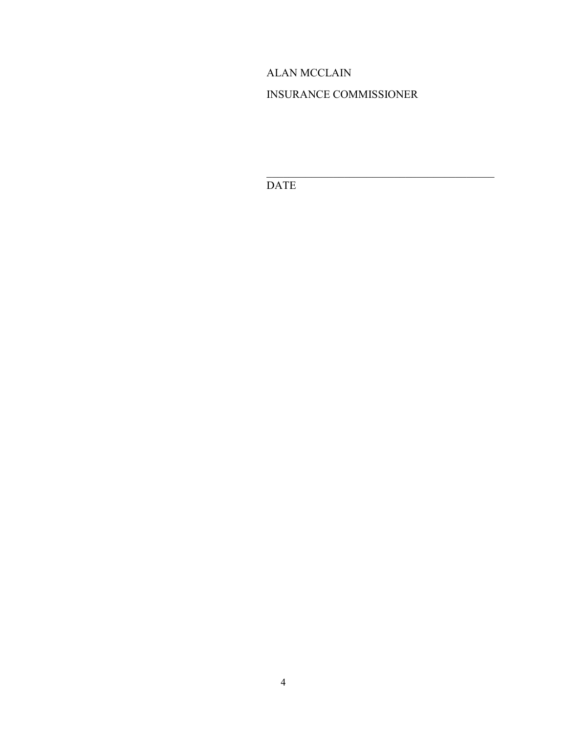# ALAN MCCLAIN

# INSURANCE COMMISSIONER

 $\overline{\mathcal{L}}$  , and the contribution of the contribution of  $\overline{\mathcal{L}}$ 

DATE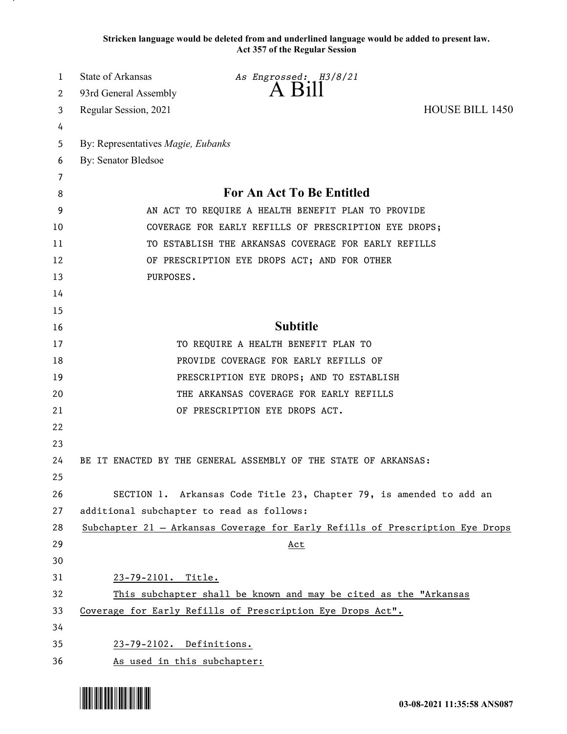**Stricken language would be deleted from and underlined language would be added to present law. Act 357 of the Regular Session**

| 1  | <b>State of Arkansas</b>                                         | As Engrossed: H3/8/21                                                         |                        |  |
|----|------------------------------------------------------------------|-------------------------------------------------------------------------------|------------------------|--|
| 2  | 93rd General Assembly                                            | $A$ Bill                                                                      |                        |  |
| 3  | Regular Session, 2021                                            |                                                                               | <b>HOUSE BILL 1450</b> |  |
| 4  |                                                                  |                                                                               |                        |  |
| 5  | By: Representatives Magie, Eubanks                               |                                                                               |                        |  |
| 6  | By: Senator Bledsoe                                              |                                                                               |                        |  |
| 7  |                                                                  |                                                                               |                        |  |
| 8  | For An Act To Be Entitled                                        |                                                                               |                        |  |
| 9  | AN ACT TO REQUIRE A HEALTH BENEFIT PLAN TO PROVIDE               |                                                                               |                        |  |
| 10 | COVERAGE FOR EARLY REFILLS OF PRESCRIPTION EYE DROPS;            |                                                                               |                        |  |
| 11 | TO ESTABLISH THE ARKANSAS COVERAGE FOR EARLY REFILLS             |                                                                               |                        |  |
| 12 | OF PRESCRIPTION EYE DROPS ACT; AND FOR OTHER                     |                                                                               |                        |  |
| 13 | PURPOSES.                                                        |                                                                               |                        |  |
| 14 |                                                                  |                                                                               |                        |  |
| 15 |                                                                  |                                                                               |                        |  |
| 16 |                                                                  | <b>Subtitle</b>                                                               |                        |  |
| 17 |                                                                  | TO REQUIRE A HEALTH BENEFIT PLAN TO                                           |                        |  |
| 18 |                                                                  | PROVIDE COVERAGE FOR EARLY REFILLS OF                                         |                        |  |
| 19 |                                                                  | PRESCRIPTION EYE DROPS; AND TO ESTABLISH                                      |                        |  |
| 20 | THE ARKANSAS COVERAGE FOR EARLY REFILLS                          |                                                                               |                        |  |
| 21 |                                                                  | OF PRESCRIPTION EYE DROPS ACT.                                                |                        |  |
| 22 |                                                                  |                                                                               |                        |  |
| 23 |                                                                  |                                                                               |                        |  |
| 24 |                                                                  | BE IT ENACTED BY THE GENERAL ASSEMBLY OF THE STATE OF ARKANSAS:               |                        |  |
| 25 |                                                                  |                                                                               |                        |  |
| 26 |                                                                  | SECTION 1. Arkansas Code Title 23, Chapter 79, is amended to add an           |                        |  |
| 27 | additional subchapter to read as follows:                        |                                                                               |                        |  |
| 28 |                                                                  | Subchapter 21 - Arkansas Coverage for Early Refills of Prescription Eye Drops |                        |  |
| 29 |                                                                  | <u>Act</u>                                                                    |                        |  |
| 30 |                                                                  |                                                                               |                        |  |
| 31 | 23-79-2101. Title.                                               |                                                                               |                        |  |
| 32 | This subchapter shall be known and may be cited as the "Arkansas |                                                                               |                        |  |
| 33 |                                                                  | Coverage for Early Refills of Prescription Eye Drops Act".                    |                        |  |
| 34 |                                                                  |                                                                               |                        |  |
| 35 | 23-79-2102. Definitions.                                         |                                                                               |                        |  |
| 36 | As used in this subchapter:                                      |                                                                               |                        |  |

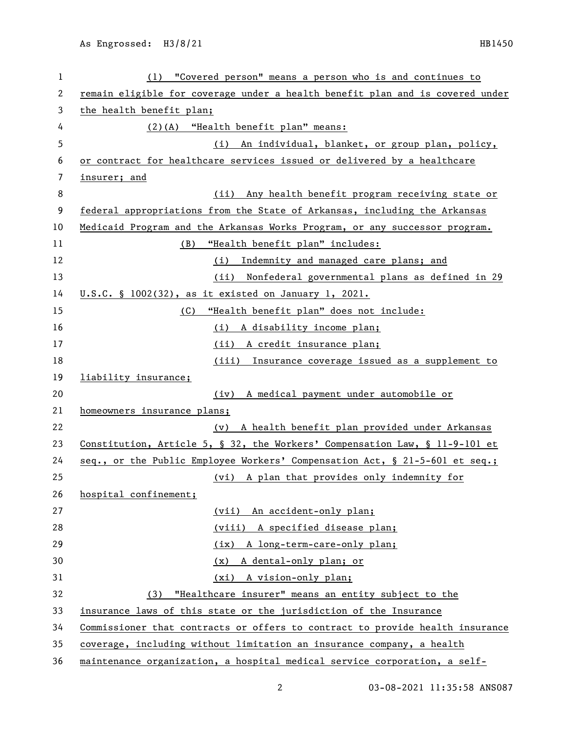| 1  | (1) "Covered person" means a person who is and continues to                   |  |  |
|----|-------------------------------------------------------------------------------|--|--|
| 2  | remain eligible for coverage under a health benefit plan and is covered under |  |  |
| 3  | the health benefit plan;                                                      |  |  |
| 4  | (2)(A) "Health benefit plan" means:                                           |  |  |
| 5  | (i) An individual, blanket, or group plan, policy,                            |  |  |
| 6  | or contract for healthcare services issued or delivered by a healthcare       |  |  |
| 7  | insurer; and                                                                  |  |  |
| 8  | Any health benefit program receiving state or<br>(ii)                         |  |  |
| 9  | federal appropriations from the State of Arkansas, including the Arkansas     |  |  |
| 10 | Medicaid Program and the Arkansas Works Program, or any successor program.    |  |  |
| 11 | (B) "Health benefit plan" includes:                                           |  |  |
| 12 | (i) Indemnity and managed care plans; and                                     |  |  |
| 13 | Nonfederal governmental plans as defined in 29<br>(ii)                        |  |  |
| 14 | U.S.C. § 1002(32), as it existed on January 1, 2021.                          |  |  |
| 15 | "Health benefit plan" does not include:<br>(C)                                |  |  |
| 16 | (i) A disability income plan;                                                 |  |  |
| 17 | (ii) A credit insurance plan;                                                 |  |  |
| 18 | (iii) Insurance coverage issued as a supplement to                            |  |  |
| 19 | liability insurance;                                                          |  |  |
| 20 | A medical payment under automobile or<br>(iv)                                 |  |  |
| 21 | homeowners insurance plans;                                                   |  |  |
| 22 | A health benefit plan provided under Arkansas<br>(v)                          |  |  |
| 23 | Constitution, Article 5, § 32, the Workers' Compensation Law, § 11-9-101 et   |  |  |
| 24 | seq., or the Public Employee Workers' Compensation Act, § 21-5-601 et seq.;   |  |  |
| 25 | (vi) A plan that provides only indemnity for                                  |  |  |
| 26 | hospital confinement;                                                         |  |  |
| 27 | (vii) An accident-only plan;                                                  |  |  |
| 28 | (viii) A specified disease plan;                                              |  |  |
| 29 | (ix) A long-term-care-only plan;                                              |  |  |
| 30 | A dental-only plan; or<br>(x)                                                 |  |  |
| 31 | (xi) A vision-only plan;                                                      |  |  |
| 32 | (3) "Healthcare insurer" means an entity subject to the                       |  |  |
| 33 | insurance laws of this state or the jurisdiction of the Insurance             |  |  |
| 34 | Commissioner that contracts or offers to contract to provide health insurance |  |  |
| 35 | coverage, including without limitation an insurance company, a health         |  |  |
| 36 | maintenance organization, a hospital medical service corporation, a self-     |  |  |

03-08-2021 11:35:58 ANS087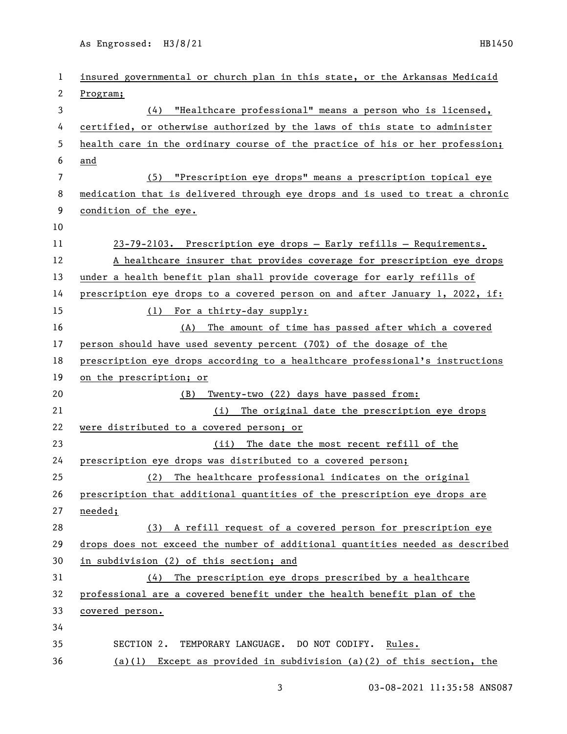As Engrossed: H3/8/21 HB1450

| 1              | insured governmental or church plan in this state, or the Arkansas Medicaid   |  |  |
|----------------|-------------------------------------------------------------------------------|--|--|
| 2              | Program;                                                                      |  |  |
| 3              | (4) "Healthcare professional" means a person who is licensed,                 |  |  |
| 4              | certified, or otherwise authorized by the laws of this state to administer    |  |  |
| 5              | health care in the ordinary course of the practice of his or her profession;  |  |  |
| 6              | and                                                                           |  |  |
| $\overline{7}$ | (5) "Prescription eye drops" means a prescription topical eye                 |  |  |
| 8              | medication that is delivered through eye drops and is used to treat a chronic |  |  |
| 9              | condition of the eye.                                                         |  |  |
| 10             |                                                                               |  |  |
| 11             | 23-79-2103. Prescription eye drops - Early refills - Requirements.            |  |  |
| 12             | A healthcare insurer that provides coverage for prescription eye drops        |  |  |
| 13             | under a health benefit plan shall provide coverage for early refills of       |  |  |
| 14             | prescription eye drops to a covered person on and after January 1, 2022, if:  |  |  |
| 15             | (1) For a thirty-day supply:                                                  |  |  |
| 16             | (A) The amount of time has passed after which a covered                       |  |  |
| 17             | person should have used seventy percent (70%) of the dosage of the            |  |  |
| 18             | prescription eye drops according to a healthcare professional's instructions  |  |  |
| 19             | on the prescription; or                                                       |  |  |
| 20             | Twenty-two (22) days have passed from:<br>(B)                                 |  |  |
| 21             | (i) The original date the prescription eye drops                              |  |  |
| 22             | were distributed to a covered person; or                                      |  |  |
| 23             | (ii) The date the most recent refill of the                                   |  |  |
| 24             | prescription eye drops was distributed to a covered person;                   |  |  |
| 25             | The healthcare professional indicates on the original<br>(2)                  |  |  |
| 26             | prescription that additional quantities of the prescription eye drops are     |  |  |
| 27             | needed;                                                                       |  |  |
| 28             | (3) A refill request of a covered person for prescription eye                 |  |  |
| 29             | drops does not exceed the number of additional quantities needed as described |  |  |
| 30             | in subdivision (2) of this section; and                                       |  |  |
| 31             | (4) The prescription eye drops prescribed by a healthcare                     |  |  |
| 32             | professional are a covered benefit under the health benefit plan of the       |  |  |
| 33             | covered person.                                                               |  |  |
| 34             |                                                                               |  |  |
| 35             | SECTION 2. TEMPORARY LANGUAGE. DO NOT CODIFY.<br>Rules.                       |  |  |
| 36             | (a)(1) Except as provided in subdivision (a)(2) of this section, the          |  |  |

3 03-08-2021 11:35:58 ANS087